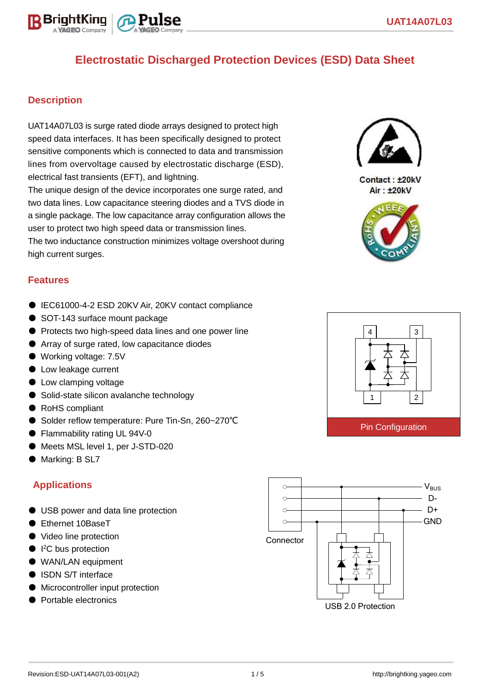

#### **Description**

UAT14A07L03 is surge rated diode arrays designed to protect high speed data interfaces. It has been specifically designed to protect sensitive components which is connected to data and transmission lines from overvoltage caused by electrostatic discharge (ESD), electrical fast transients (EFT), and lightning.

The unique design of the device incorporates one surge rated, and two data lines. Low capacitance steering diodes and a TVS diode in a single package. The low capacitance array configuration allows the user to protect two high speed data or transmission lines. The two inductance construction minimizes voltage overshoot during high current surges.

#### **Features**

- IEC61000-4-2 ESD 20KV Air, 20KV contact compliance
- SOT-143 surface mount package
- Protects two high-speed data lines and one power line
- Array of surge rated, low capacitance diodes
- Working voltage: 7.5V
- Low leakage current
- Low clamping voltage
- Solid-state silicon avalanche technology
- RoHS compliant
- Solder reflow temperature: Pure Tin-Sn, 260~270°C
- Flammability rating UL 94V-0
- Meets MSL level 1, per J-STD-020
- Marking: B SL7

#### **Applications**

- USB power and data line protection
- Ethernet 10BaseT
- Video line protection
- I<sup>2</sup>C bus protection
- WAN/LAN equipment
- ISDN S/T interface
- Microcontroller input protection
- Portable electronics





Contact: ±20kV **Air: ±20kV** 



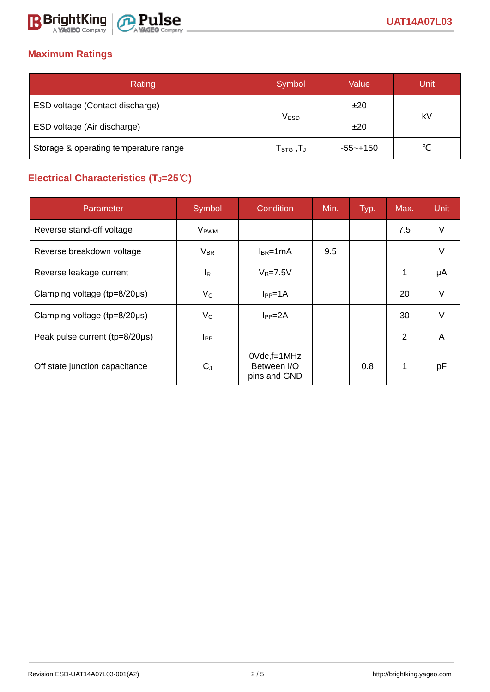

# **Maximum Ratings**

| Rating                                | Symbol                                                    | Value    | Unit   |  |
|---------------------------------------|-----------------------------------------------------------|----------|--------|--|
| ESD voltage (Contact discharge)       |                                                           | ±20      | kV     |  |
| ESD voltage (Air discharge)           | <b>VESD</b>                                               | ±20      |        |  |
| Storage & operating temperature range | $\mathsf{T}_{\texttt{STG}}\,,\!\mathsf{T}_{\texttt{J}}\,$ | -55~+150 | $\sim$ |  |

# **Electrical Characteristics (TJ=25**℃**)**

| Parameter                              | Symbol                  | Condition                                      | Min. | Typ. | Max. | <b>Unit</b> |
|----------------------------------------|-------------------------|------------------------------------------------|------|------|------|-------------|
| Reverse stand-off voltage              | <b>V</b> <sub>RWM</sub> |                                                |      |      | 7.5  | V           |
| Reverse breakdown voltage              | $V_{BR}$                | $I_{BR}$ =1mA                                  | 9.5  |      |      | V           |
| Reverse leakage current                | <sup>I</sup> R          | $V_R = 7.5V$                                   |      |      | 1    | μA          |
| Clamping voltage ( $tp = 8/20 \mu s$ ) | $V_C$                   | $I_{PP}=1A$                                    |      |      | 20   | $\vee$      |
| Clamping voltage ( $tp = 8/20 \mu s$ ) | $V_{\rm C}$             | $I_{PP} = 2A$                                  |      |      | 30   |             |
| Peak pulse current (tp=8/20µs)         | $_{\rm lPP}$            |                                                |      |      | 2    | A           |
| Off state junction capacitance         | $C_J$                   | $0$ Vdc, f=1MHz<br>Between I/O<br>pins and GND |      | 0.8  |      | pF          |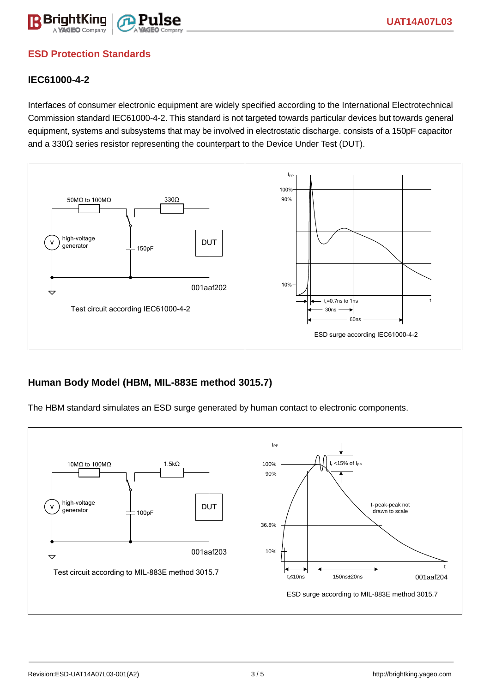

## **ESD Protection Standards**

#### **IEC61000-4-2**

Interfaces of consumer electronic equipment are widely specified according to the International Electrotechnical Commission standard IEC61000-4-2. This standard is not targeted towards particular devices but towards general equipment, systems and subsystems that may be involved in electrostatic discharge. consists of a 150pF capacitor and a 330Ω series resistor representing the counterpart to the Device Under Test (DUT).



#### **Human Body Model (HBM, MIL-883E method 3015.7)**

The HBM standard simulates an ESD surge generated by human contact to electronic components.

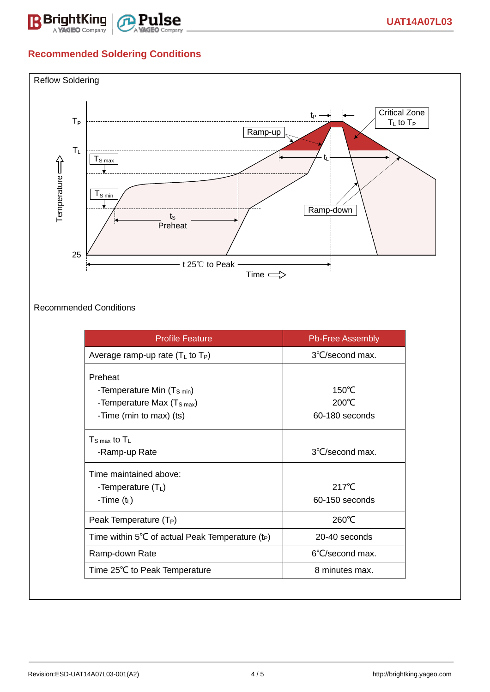

# **Recommended Soldering Conditions**